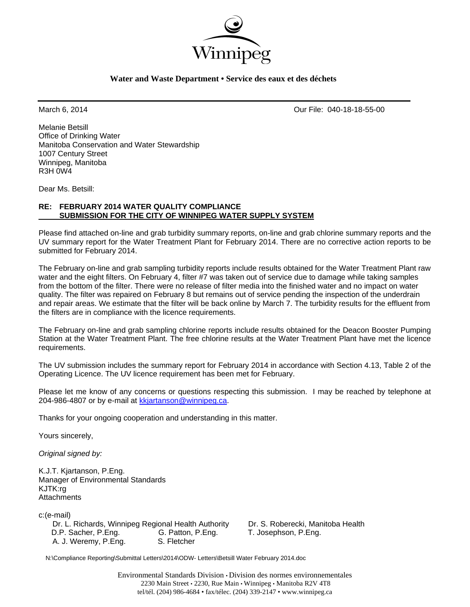

### **Water and Waste Department • Service des eaux et des déchets**

March 6, 2014 Our File: 040-18-18-55-00

Melanie Betsill Office of Drinking Water Manitoba Conservation and Water Stewardship 1007 Century Street Winnipeg, Manitoba R3H 0W4

Dear Ms. Betsill:

# **RE: FEBRUARY 2014 WATER QUALITY COMPLIANCE SUBMISSION FOR THE CITY OF WINNIPEG WATER SUPPLY SYSTEM**

Please find attached on-line and grab turbidity summary reports, on-line and grab chlorine summary reports and the UV summary report for the Water Treatment Plant for February 2014. There are no corrective action reports to be submitted for February 2014.

The February on-line and grab sampling turbidity reports include results obtained for the Water Treatment Plant raw water and the eight filters. On February 4, filter #7 was taken out of service due to damage while taking samples from the bottom of the filter. There were no release of filter media into the finished water and no impact on water quality. The filter was repaired on February 8 but remains out of service pending the inspection of the underdrain and repair areas. We estimate that the filter will be back online by March 7. The turbidity results for the effluent from the filters are in compliance with the licence requirements.

The February on-line and grab sampling chlorine reports include results obtained for the Deacon Booster Pumping Station at the Water Treatment Plant. The free chlorine results at the Water Treatment Plant have met the licence requirements.

The UV submission includes the summary report for February 2014 in accordance with Section 4.13, Table 2 of the Operating Licence. The UV licence requirement has been met for February.

Please let me know of any concerns or questions respecting this submission. I may be reached by telephone at 204-986-4807 or by e-mail at kkjartanson@winnipeg.ca.

Thanks for your ongoing cooperation and understanding in this matter.

Yours sincerely,

*Original signed by:* 

K.J.T. Kjartanson, P.Eng. Manager of Environmental Standards KJTK:rg **Attachments** 

c:(e-mail)

 Dr. L. Richards, Winnipeg Regional Health Authority Dr. S. Roberecki, Manitoba Health D.P. Sacher, P.Eng. G. Patton, P.Eng. T. Josephson, P.Eng. A. J. Weremy, P.Eng. S. Fletcher

N:\Compliance Reporting\Submittal Letters\2014\ODW- Letters\Betsill Water February 2014.doc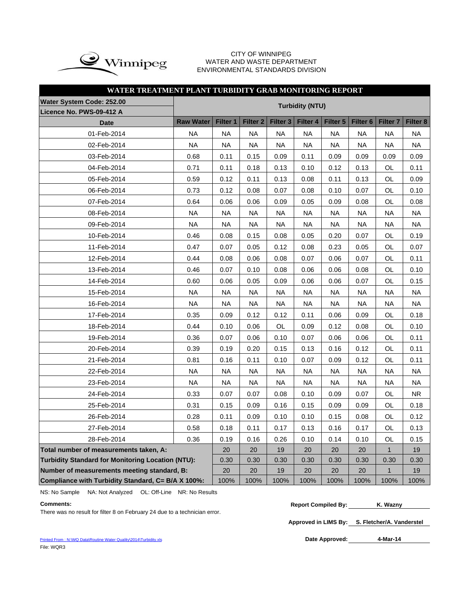

### CITY OF WINNIPEG CITY OF WINNIPEG<br>WATER AND WASTE DEPARTMENT<br>FNVIRONMENTAL STANDARDS DIVISIO ENVIRONMENTAL STANDARDS DIVISION

# **WATER TREATMENT PLANT TURBIDITY GRAB MONITORING REPORT**

| Water System Code: 252.00                                |                  |           |                 |                        |           |           |                     |                     |                     |  |  |  |  |
|----------------------------------------------------------|------------------|-----------|-----------------|------------------------|-----------|-----------|---------------------|---------------------|---------------------|--|--|--|--|
| Licence No. PWS-09-412 A                                 |                  |           |                 | <b>Turbidity (NTU)</b> |           |           |                     |                     |                     |  |  |  |  |
| <b>Date</b>                                              | <b>Raw Water</b> | Filter 1  | <b>Filter 2</b> | Filter 3               | Filter 4  | Filter 5  | Filter <sub>6</sub> | Filter <sub>7</sub> | Filter <sub>8</sub> |  |  |  |  |
| 01-Feb-2014                                              | <b>NA</b>        | <b>NA</b> | <b>NA</b>       | <b>NA</b>              | <b>NA</b> | <b>NA</b> | <b>NA</b>           | <b>NA</b>           | <b>NA</b>           |  |  |  |  |
| 02-Feb-2014                                              | <b>NA</b>        | <b>NA</b> | <b>NA</b>       | NA                     | <b>NA</b> | <b>NA</b> | <b>NA</b>           | <b>NA</b>           | <b>NA</b>           |  |  |  |  |
| 03-Feb-2014                                              | 0.68             | 0.11      | 0.15            | 0.09                   | 0.11      | 0.09      | 0.09                | 0.09                | 0.09                |  |  |  |  |
| 04-Feb-2014                                              | 0.71             | 0.11      | 0.18            | 0.13                   | 0.10      | 0.12      | 0.13                | OL                  | 0.11                |  |  |  |  |
| 05-Feb-2014                                              | 0.59             | 0.12      | 0.11            | 0.13                   | 0.08      | 0.11      | 0.13                | OL                  | 0.09                |  |  |  |  |
| 06-Feb-2014                                              | 0.73             | 0.12      | 0.08            | 0.07                   | 0.08      | 0.10      | 0.07                | OL                  | 0.10                |  |  |  |  |
| 07-Feb-2014                                              | 0.64             | 0.06      | 0.06            | 0.09                   | 0.05      | 0.09      | 0.08                | OL                  | 0.08                |  |  |  |  |
| 08-Feb-2014                                              | <b>NA</b>        | NA.       | NA              | ΝA                     | NA        | NA        | NA                  | ΝA                  | NA.                 |  |  |  |  |
| 09-Feb-2014                                              | <b>NA</b>        | <b>NA</b> | <b>NA</b>       | <b>NA</b>              | <b>NA</b> | <b>NA</b> | <b>NA</b>           | <b>NA</b>           | <b>NA</b>           |  |  |  |  |
| 10-Feb-2014                                              | 0.46             | 0.08      | 0.15            | 0.08                   | 0.05      | 0.20      | 0.07                | OL.                 | 0.19                |  |  |  |  |
| 11-Feb-2014                                              | 0.47             | 0.07      | 0.05            | 0.12                   | 0.08      | 0.23      | 0.05                | OL                  | 0.07                |  |  |  |  |
| 12-Feb-2014                                              | 0.44             | 0.08      | 0.06            | 0.08                   | 0.07      | 0.06      | 0.07                | OL                  | 0.11                |  |  |  |  |
| 13-Feb-2014                                              | 0.46             | 0.07      | 0.10            | 0.08                   | 0.06      | 0.06      | 0.08                | OL                  | 0.10                |  |  |  |  |
| 14-Feb-2014                                              | 0.60             | 0.06      | 0.05            | 0.09                   | 0.06      | 0.06      | 0.07                | OL                  | 0.15                |  |  |  |  |
| 15-Feb-2014                                              | <b>NA</b>        | <b>NA</b> | <b>NA</b>       | NA                     | <b>NA</b> | <b>NA</b> | ΝA                  | <b>NA</b>           | <b>NA</b>           |  |  |  |  |
| 16-Feb-2014                                              | <b>NA</b>        | <b>NA</b> | <b>NA</b>       | <b>NA</b>              | <b>NA</b> | <b>NA</b> | <b>NA</b>           | <b>NA</b>           | <b>NA</b>           |  |  |  |  |
| 17-Feb-2014                                              | 0.35             | 0.09      | 0.12            | 0.12                   | 0.11      | 0.06      | 0.09                | OL                  | 0.18                |  |  |  |  |
| 18-Feb-2014                                              | 0.44             | 0.10      | 0.06            | OL                     | 0.09      | 0.12      | 0.08                | OL                  | 0.10                |  |  |  |  |
| 19-Feb-2014                                              | 0.36             | 0.07      | 0.06            | 0.10                   | 0.07      | 0.06      | 0.06                | OL                  | 0.11                |  |  |  |  |
| 20-Feb-2014                                              | 0.39             | 0.19      | 0.20            | 0.15                   | 0.13      | 0.16      | 0.12                | OL                  | 0.11                |  |  |  |  |
| 21-Feb-2014                                              | 0.81             | 0.16      | 0.11            | 0.10                   | 0.07      | 0.09      | 0.12                | OL                  | 0.11                |  |  |  |  |
| 22-Feb-2014                                              | <b>NA</b>        | <b>NA</b> | <b>NA</b>       | <b>NA</b>              | <b>NA</b> | <b>NA</b> | <b>NA</b>           | <b>NA</b>           | <b>NA</b>           |  |  |  |  |
| 23-Feb-2014                                              | <b>NA</b>        | <b>NA</b> | <b>NA</b>       | <b>NA</b>              | <b>NA</b> | <b>NA</b> | <b>NA</b>           | <b>NA</b>           | <b>NA</b>           |  |  |  |  |
| 24-Feb-2014                                              | 0.33             | 0.07      | 0.07            | 0.08                   | 0.10      | 0.09      | 0.07                | OL                  | <b>NR</b>           |  |  |  |  |
| 25-Feb-2014                                              | 0.31             | 0.15      | 0.09            | 0.16                   | 0.15      | 0.09      | 0.09                | OL                  | 0.18                |  |  |  |  |
| 26-Feb-2014                                              | 0.28             | 0.11      | 0.09            | 0.10                   | 0.10      | 0.15      | 0.08                | OL                  | 0.12                |  |  |  |  |
| 27-Feb-2014                                              | 0.58             | 0.18      | 0.11            | 0.17                   | 0.13      | 0.16      | 0.17                | OL                  | 0.13                |  |  |  |  |
| 28-Feb-2014                                              | 0.36             | 0.19      | 0.16            | 0.26                   | 0.10      | 0.14      | 0.10                | OL                  | 0.15                |  |  |  |  |
| Total number of measurements taken, A:                   |                  | 20        | 20              | 19                     | 20        | 20        | 20                  | $\mathbf{1}$        | 19                  |  |  |  |  |
| <b>Turbidity Standard for Monitoring Location (NTU):</b> |                  | 0.30      | 0.30            | 0.30                   | 0.30      | 0.30      | 0.30                | 0.30                | 0.30                |  |  |  |  |
| Number of measurements meeting standard, B:              |                  | 20        | 20              | 19                     | 20        | 20        | 20                  | $\mathbf{1}$        | 19                  |  |  |  |  |
| Compliance with Turbidity Standard, C= B/A X 100%:       |                  | 100%      | 100%            | 100%                   | 100%      | 100%      | 100%                | 100%                | 100%                |  |  |  |  |

NS: No Sample NA: Not Analyzed OL: Off-Line NR: No Results

There was no result for filter 8 on February 24 due to a technician error.

Printed From : N:\WQ Data\Routine Water Quality\2014\Turbidity.xls

**Comments: Report Compiled By: K. Wazny**

**Approved in LIMS By: S. Fletcher/A. Vanderstel**

Date Approved: 4-Mar-14

File: WQR3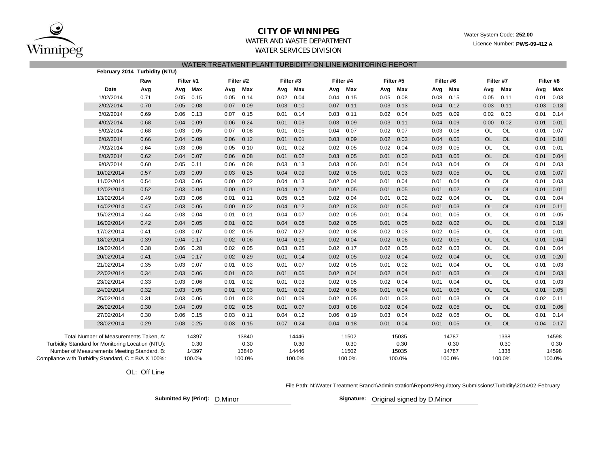

# **CITY OF WINNIPEG**

Water System Code: **252.00**

### WATER AND WASTE DEPARTMENTWATER SERVICES DIVISION

Licence Number: **PWS-09-412 A**

| WATER TREATMENT PLANT TURBIDITY ON-LINE MONITORING REPORT |  |
|-----------------------------------------------------------|--|
|                                                           |  |
|                                                           |  |
|                                                           |  |

|                                                     | February 2014 Turbidity (NTU)          |      |      |           |      |           |      |           |           |        |      |           |      |           |           |           |      |           |
|-----------------------------------------------------|----------------------------------------|------|------|-----------|------|-----------|------|-----------|-----------|--------|------|-----------|------|-----------|-----------|-----------|------|-----------|
|                                                     |                                        | Raw  |      | Filter #1 |      | Filter #2 |      | Filter #3 | Filter #4 |        |      | Filter #5 |      | Filter #6 |           | Filter #7 |      | Filter #8 |
|                                                     | Date                                   | Avg  | Avg  | Max       | Avg  | Max       | Avg  | Max       | Avg       | Max    | Avg  | Max       | Avg  | Max       | Avg       | Max       | Avg  | Max       |
|                                                     | 1/02/2014                              | 0.71 | 0.05 | 0.15      | 0.05 | 0.14      | 0.02 | 0.04      | 0.04      | 0.15   | 0.05 | 0.08      | 0.08 | 0.15      | 0.05      | 0.11      | 0.01 | 0.03      |
|                                                     | 2/02/2014                              | 0.70 | 0.05 | 0.08      | 0.07 | 0.09      | 0.03 | 0.10      | 0.07      | 0.11   | 0.03 | 0.13      | 0.04 | 0.12      | 0.03      | 0.11      | 0.03 | 0.18      |
|                                                     | 3/02/2014                              | 0.69 | 0.06 | 0.13      | 0.07 | 0.15      | 0.01 | 0.14      | 0.03      | 0.11   | 0.02 | 0.04      | 0.05 | 0.09      | 0.02      | 0.03      | 0.01 | 0.14      |
|                                                     | 4/02/2014                              | 0.68 | 0.04 | 0.09      | 0.06 | 0.24      | 0.01 | 0.03      | 0.03      | 0.09   | 0.03 | 0.11      | 0.04 | 0.09      | 0.00      | 0.02      | 0.01 | 0.01      |
|                                                     | 5/02/2014                              | 0.68 | 0.03 | 0.05      | 0.07 | 0.08      | 0.01 | 0.05      | 0.04      | 0.07   | 0.02 | 0.07      | 0.03 | 0.08      | OL        | OL        | 0.01 | 0.07      |
|                                                     | 6/02/2014                              | 0.66 | 0.04 | 0.09      | 0.06 | 0.12      | 0.01 | 0.01      | 0.03      | 0.09   | 0.02 | 0.03      | 0.04 | 0.05      | OL        | OL        | 0.01 | 0.10      |
|                                                     | 7/02/2014                              | 0.64 | 0.03 | 0.06      | 0.05 | 0.10      | 0.01 | 0.02      | 0.02      | 0.05   | 0.02 | 0.04      | 0.03 | 0.05      | OL        | OL        | 0.01 | 0.01      |
|                                                     | 8/02/2014                              | 0.62 | 0.04 | 0.07      | 0.06 | 0.08      | 0.01 | 0.02      | 0.03      | 0.05   | 0.01 | 0.03      | 0.03 | 0.05      | OL        | OL        | 0.01 | 0.04      |
|                                                     | 9/02/2014                              | 0.60 | 0.05 | 0.11      | 0.06 | 0.08      | 0.03 | 0.13      | 0.03      | 0.06   | 0.01 | 0.04      | 0.03 | 0.04      | OL        | OL        | 0.01 | 0.03      |
|                                                     | 10/02/2014                             | 0.57 | 0.03 | 0.09      | 0.03 | 0.25      | 0.04 | 0.09      | 0.02      | 0.05   | 0.01 | 0.03      | 0.03 | 0.05      | OL        | OL        | 0.01 | 0.07      |
|                                                     | 11/02/2014                             | 0.54 | 0.03 | 0.06      | 0.00 | 0.02      | 0.04 | 0.13      | 0.02      | 0.04   | 0.01 | 0.04      | 0.01 | 0.04      | OL        | OL        | 0.01 | 0.03      |
|                                                     | 12/02/2014                             | 0.52 | 0.03 | 0.04      | 0.00 | 0.01      | 0.04 | 0.17      | 0.02      | 0.05   | 0.01 | 0.05      | 0.01 | 0.02      | OL        | OL        | 0.01 | 0.01      |
|                                                     | 13/02/2014                             | 0.49 | 0.03 | 0.06      | 0.01 | 0.11      | 0.05 | 0.16      | 0.02      | 0.04   | 0.01 | 0.02      | 0.02 | 0.04      | OL        | OL        | 0.01 | 0.04      |
|                                                     | 14/02/2014                             | 0.47 | 0.03 | 0.06      | 0.00 | 0.02      | 0.04 | 0.12      | 0.02      | 0.03   | 0.01 | 0.05      | 0.01 | 0.03      | OL        | OL        | 0.01 | 0.11      |
|                                                     | 15/02/2014                             | 0.44 | 0.03 | 0.04      | 0.01 | 0.01      | 0.04 | 0.07      | 0.02      | 0.05   | 0.01 | 0.04      | 0.01 | 0.05      | OL        | OL        | 0.01 | 0.05      |
|                                                     | 16/02/2014                             | 0.42 | 0.04 | 0.05      | 0.01 | 0.02      | 0.04 | 0.08      | 0.02      | 0.05   | 0.01 | 0.05      | 0.02 | 0.02      | OL        | <b>OL</b> | 0.01 | 0.19      |
|                                                     | 17/02/2014                             | 0.41 | 0.03 | 0.07      | 0.02 | 0.05      | 0.07 | 0.27      | 0.02      | 0.08   | 0.02 | 0.03      | 0.02 | 0.05      | OL        | <b>OL</b> | 0.01 | 0.01      |
|                                                     | 18/02/2014                             | 0.39 | 0.04 | 0.17      | 0.02 | 0.06      | 0.04 | 0.16      | 0.02      | 0.04   | 0.02 | 0.06      | 0.02 | 0.05      | <b>OL</b> | <b>OL</b> | 0.01 | 0.04      |
|                                                     | 19/02/2014                             | 0.38 | 0.06 | 0.28      | 0.02 | 0.05      | 0.03 | 0.25      | 0.02      | 0.17   | 0.02 | 0.05      | 0.02 | 0.03      | OL        | <b>OL</b> | 0.01 | 0.04      |
|                                                     | 20/02/2014                             | 0.41 | 0.04 | 0.17      | 0.02 | 0.29      | 0.01 | 0.14      | 0.02      | 0.05   | 0.02 | 0.04      | 0.02 | 0.04      | OL        | OL        | 0.01 | 0.20      |
|                                                     | 21/02/2014                             | 0.35 | 0.03 | 0.07      | 0.01 | 0.03      | 0.01 | 0.07      | 0.02      | 0.05   | 0.01 | 0.02      | 0.01 | 0.04      | OL        | OL        | 0.01 | 0.03      |
|                                                     | 22/02/2014                             | 0.34 | 0.03 | 0.06      | 0.01 | 0.03      | 0.01 | 0.05      | 0.02      | 0.04   | 0.02 | 0.04      | 0.01 | 0.03      | OL        | <b>OL</b> | 0.01 | 0.03      |
|                                                     | 23/02/2014                             | 0.33 | 0.03 | 0.06      | 0.01 | 0.02      | 0.01 | 0.03      | 0.02      | 0.05   | 0.02 | 0.04      | 0.01 | 0.04      | OL        | OL        | 0.01 | 0.03      |
|                                                     | 24/02/2014                             | 0.32 | 0.03 | 0.05      | 0.01 | 0.03      | 0.01 | 0.02      | 0.02      | 0.06   | 0.01 | 0.04      | 0.01 | 0.06      | <b>OL</b> | <b>OL</b> | 0.01 | 0.05      |
|                                                     | 25/02/2014                             | 0.31 | 0.03 | 0.06      | 0.01 | 0.03      | 0.01 | 0.09      | 0.02      | 0.05   | 0.01 | 0.03      | 0.01 | 0.03      | OL        | OL        | 0.02 | 0.11      |
|                                                     | 26/02/2014                             | 0.30 | 0.04 | 0.09      | 0.02 | 0.05      | 0.01 | 0.07      | 0.03      | 0.08   | 0.02 | 0.04      | 0.02 | 0.05      | <b>OL</b> | OL        | 0.01 | 0.06      |
|                                                     | 27/02/2014                             | 0.30 | 0.06 | 0.15      | 0.03 | 0.11      | 0.04 | 0.12      | 0.06      | 0.19   | 0.03 | 0.04      | 0.02 | 0.08      | OL        | OL        | 0.01 | 0.14      |
|                                                     | 28/02/2014                             | 0.29 | 0.08 | 0.25      | 0.03 | 0.15      | 0.07 | 0.24      | 0.04      | 0.18   | 0.01 | 0.04      | 0.01 | 0.05      | <b>OL</b> | OL        | 0.04 | 0.17      |
|                                                     | Total Number of Measurements Taken, A: |      |      | 14397     |      | 13840     |      | 14446     |           | 11502  |      | 15035     |      | 14787     |           | 1338      |      | 14598     |
| Turbidity Standard for Monitoring Location (NTU):   |                                        |      |      | 0.30      |      | 0.30      |      | 0.30      |           | 0.30   |      | 0.30      |      | 0.30      |           | 0.30      |      | 0.30      |
| Number of Measurements Meeting Standard, B:         |                                        |      |      | 14397     |      | 13840     |      | 14446     |           | 11502  |      | 15035     |      | 14787     |           | 1338      |      | 14598     |
| Compliance with Turbidity Standard, C = B/A X 100%: |                                        |      |      | 100.0%    |      | 100.0%    |      | 100.0%    |           | 100.0% |      | 100.0%    |      | 100.0%    |           | 100.0%    |      | 100.0%    |

OL: Off Line

File Path: N:\Water Treatment Branch\Administration\Reports\Regulatory Submissions\Turbidity\2014\02-February

**Submitted By (Print): D.Minor** 

Signature: Original signed by D.Minor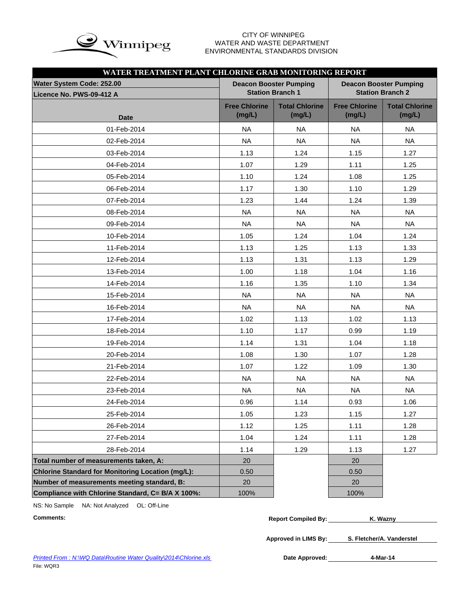

# WATER AND WASTE DEPARTMENT ENVIRONMENTAL STANDARDS DIVISION

|                                                       | WATER TREATMENT PLANT CHLORINE GRAB MONITORING REPORT |                                                          |                                                          |                                 |  |  |  |  |  |  |  |  |
|-------------------------------------------------------|-------------------------------------------------------|----------------------------------------------------------|----------------------------------------------------------|---------------------------------|--|--|--|--|--|--|--|--|
| Water System Code: 252.00<br>Licence No. PWS-09-412 A |                                                       | <b>Deacon Booster Pumping</b><br><b>Station Branch 1</b> | <b>Deacon Booster Pumping</b><br><b>Station Branch 2</b> |                                 |  |  |  |  |  |  |  |  |
| <b>Date</b>                                           | <b>Free Chlorine</b><br>(mg/L)                        | <b>Total Chlorine</b><br>(mg/L)                          | <b>Free Chlorine</b><br>(mg/L)                           | <b>Total Chlorine</b><br>(mg/L) |  |  |  |  |  |  |  |  |
| 01-Feb-2014                                           | <b>NA</b>                                             | <b>NA</b>                                                | <b>NA</b>                                                | <b>NA</b>                       |  |  |  |  |  |  |  |  |
| 02-Feb-2014                                           | <b>NA</b>                                             | <b>NA</b>                                                | <b>NA</b>                                                | <b>NA</b>                       |  |  |  |  |  |  |  |  |
| 03-Feb-2014                                           | 1.13                                                  | 1.24                                                     | 1.15                                                     | 1.27                            |  |  |  |  |  |  |  |  |
| 04-Feb-2014                                           | 1.07                                                  | 1.29                                                     | 1.11                                                     | 1.25                            |  |  |  |  |  |  |  |  |
| 05-Feb-2014                                           | 1.10                                                  | 1.24                                                     | 1.08                                                     | 1.25                            |  |  |  |  |  |  |  |  |
| 06-Feb-2014                                           | 1.17                                                  | 1.30                                                     | 1.10                                                     | 1.29                            |  |  |  |  |  |  |  |  |
| 07-Feb-2014                                           | 1.23                                                  | 1.44                                                     | 1.24                                                     | 1.39                            |  |  |  |  |  |  |  |  |
| 08-Feb-2014                                           | <b>NA</b>                                             | <b>NA</b>                                                | <b>NA</b>                                                | <b>NA</b>                       |  |  |  |  |  |  |  |  |
| 09-Feb-2014                                           | <b>NA</b>                                             | <b>NA</b>                                                | <b>NA</b>                                                | <b>NA</b>                       |  |  |  |  |  |  |  |  |
| 10-Feb-2014                                           | 1.05                                                  | 1.24                                                     | 1.04                                                     | 1.24                            |  |  |  |  |  |  |  |  |
| 11-Feb-2014                                           | 1.13                                                  | 1.25                                                     | 1.13                                                     | 1.33                            |  |  |  |  |  |  |  |  |
| 12-Feb-2014                                           | 1.13                                                  | 1.31                                                     | 1.13                                                     | 1.29                            |  |  |  |  |  |  |  |  |
| 13-Feb-2014                                           | 1.00                                                  | 1.18                                                     | 1.04                                                     | 1.16                            |  |  |  |  |  |  |  |  |
| 14-Feb-2014                                           | 1.16                                                  | 1.35                                                     | 1.10                                                     | 1.34                            |  |  |  |  |  |  |  |  |
| 15-Feb-2014                                           | <b>NA</b>                                             | <b>NA</b>                                                | <b>NA</b>                                                | <b>NA</b>                       |  |  |  |  |  |  |  |  |
| 16-Feb-2014                                           | <b>NA</b>                                             | <b>NA</b>                                                | <b>NA</b>                                                | <b>NA</b>                       |  |  |  |  |  |  |  |  |
| 17-Feb-2014                                           | 1.02                                                  | 1.13                                                     | 1.02                                                     | 1.13                            |  |  |  |  |  |  |  |  |
| 18-Feb-2014                                           | 1.10                                                  | 1.17                                                     | 0.99                                                     | 1.19                            |  |  |  |  |  |  |  |  |
| 19-Feb-2014                                           | 1.14                                                  | 1.31                                                     | 1.04                                                     | 1.18                            |  |  |  |  |  |  |  |  |
| 20-Feb-2014                                           | 1.08                                                  | 1.30                                                     | 1.07                                                     | 1.28                            |  |  |  |  |  |  |  |  |
| 21-Feb-2014                                           | 1.07                                                  | 1.22                                                     | 1.09                                                     | 1.30                            |  |  |  |  |  |  |  |  |
| 22-Feb-2014                                           | <b>NA</b>                                             | <b>NA</b>                                                | <b>NA</b>                                                | <b>NA</b>                       |  |  |  |  |  |  |  |  |
| 23-Feb-2014                                           | <b>NA</b>                                             | <b>NA</b>                                                | <b>NA</b>                                                | <b>NA</b>                       |  |  |  |  |  |  |  |  |
| 24-Feb-2014                                           | 0.96                                                  | 1.14                                                     | 0.93                                                     | 1.06                            |  |  |  |  |  |  |  |  |
| 25-Feb-2014                                           | 1.05                                                  | 1.23                                                     | 1.15                                                     | 1.27                            |  |  |  |  |  |  |  |  |
| 26-Feb-2014                                           | 1.12                                                  | 1.25                                                     | 1.11                                                     | 1.28                            |  |  |  |  |  |  |  |  |
| 27-Feb-2014                                           | 1.04                                                  | 1.24                                                     | 1.11                                                     | 1.28                            |  |  |  |  |  |  |  |  |
| 28-Feb-2014                                           | 1.14                                                  | 1.29                                                     | 1.13                                                     | 1.27                            |  |  |  |  |  |  |  |  |
| Total number of measurements taken, A:                | 20                                                    |                                                          | 20                                                       |                                 |  |  |  |  |  |  |  |  |
| Chlorine Standard for Monitoring Location (mg/L):     | 0.50                                                  |                                                          | 0.50                                                     |                                 |  |  |  |  |  |  |  |  |
| Number of measurements meeting standard, B:           | 20                                                    |                                                          | 20                                                       |                                 |  |  |  |  |  |  |  |  |
| Compliance with Chlorine Standard, C= B/A X 100%:     | 100%                                                  |                                                          | 100%                                                     |                                 |  |  |  |  |  |  |  |  |

NS: No Sample NA: Not Analyzed OL: Off-Line

| <b>Comments:</b> | <b>Report Compiled By:</b> | K. Wazny |  |
|------------------|----------------------------|----------|--|
|                  |                            |          |  |

**Approved in LIMS By: S. Fletcher/A. Vanderstel**

Date Approved: 4-Mar-14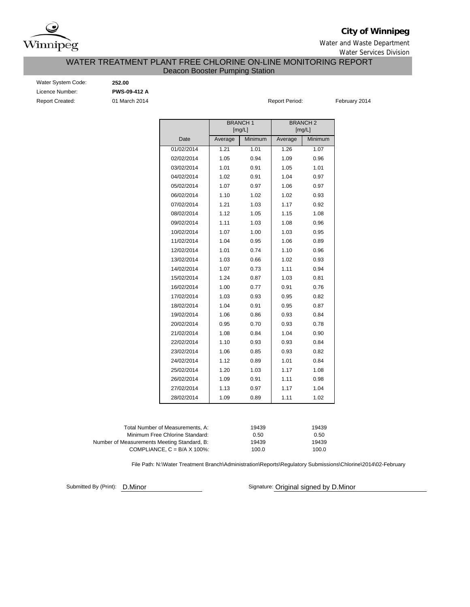

# **City of Winnipeg**

Water and Waste Department Water Services Division

## WATER TREATMENT PLANT FREE CHLORINE ON-LINE MONITORING REPORT Deacon Booster Pumping Station

Water System Code: **252.00** Licence Number: **PWS-09-412 A** Report Created: 01 March 2014

Report Period: February 2014

|            |         | <b>BRANCH1</b><br>[mg/L] |         | <b>BRANCH2</b><br>[mg/L] |  |  |  |  |
|------------|---------|--------------------------|---------|--------------------------|--|--|--|--|
| Date       | Average | Minimum                  | Average | Minimum                  |  |  |  |  |
| 01/02/2014 | 1.21    | 1.01                     | 1.26    | 1.07                     |  |  |  |  |
| 02/02/2014 | 1.05    | 0.94                     | 1.09    | 0.96                     |  |  |  |  |
| 03/02/2014 | 1.01    | 0.91                     | 1.05    | 1.01                     |  |  |  |  |
| 04/02/2014 | 1.02    | 0.91                     | 1.04    | 0.97                     |  |  |  |  |
| 05/02/2014 | 1.07    | 0.97                     | 1.06    | 0.97                     |  |  |  |  |
| 06/02/2014 | 1.10    | 1.02                     | 1.02    | 0.93                     |  |  |  |  |
| 07/02/2014 | 1.21    | 1.03                     | 1.17    | 0.92                     |  |  |  |  |
| 08/02/2014 | 1.12    | 1.05                     | 1.15    | 1.08                     |  |  |  |  |
| 09/02/2014 | 1.11    | 1.03                     | 1.08    | 0.96                     |  |  |  |  |
| 10/02/2014 | 1.07    | 1.00                     | 1.03    | 0.95                     |  |  |  |  |
| 11/02/2014 | 1.04    | 0.95                     | 1.06    | 0.89                     |  |  |  |  |
| 12/02/2014 | 1.01    | 0.74                     | 1.10    | 0.96                     |  |  |  |  |
| 13/02/2014 | 1.03    | 0.66                     | 1.02    | 0.93                     |  |  |  |  |
| 14/02/2014 | 1.07    | 0.73                     | 1.11    | 0.94                     |  |  |  |  |
| 15/02/2014 | 1.24    | 0.87                     | 1.03    | 0.81                     |  |  |  |  |
| 16/02/2014 | 1.00    | 0.77                     | 0.91    | 0.76                     |  |  |  |  |
| 17/02/2014 | 1.03    | 0.93                     | 0.95    | 0.82                     |  |  |  |  |
| 18/02/2014 | 1.04    | 0.91                     | 0.95    | 0.87                     |  |  |  |  |
| 19/02/2014 | 1.06    | 0.86                     | 0.93    | 0.84                     |  |  |  |  |
| 20/02/2014 | 0.95    | 0.70                     | 0.93    | 0.78                     |  |  |  |  |
| 21/02/2014 | 1.08    | 0.84                     | 1.04    | 0.90                     |  |  |  |  |
| 22/02/2014 | 1.10    | 0.93                     | 0.93    | 0.84                     |  |  |  |  |
| 23/02/2014 | 1.06    | 0.85                     | 0.93    | 0.82                     |  |  |  |  |
| 24/02/2014 | 1.12    | 0.89                     | 1.01    | 0.84                     |  |  |  |  |
| 25/02/2014 | 1.20    | 1.03                     | 1.17    | 1.08                     |  |  |  |  |
| 26/02/2014 | 1.09    | 0.91                     | 1.11    | 0.98                     |  |  |  |  |
| 27/02/2014 | 1.13    | 0.97                     | 1.17    | 1.04                     |  |  |  |  |
| 28/02/2014 | 1.09    | 0.89                     | 1.11    | 1.02                     |  |  |  |  |
|            |         |                          |         |                          |  |  |  |  |

| Total Number of Measurements, A:            | 19439 | 19439 |
|---------------------------------------------|-------|-------|
| Minimum Free Chlorine Standard:             | 0.50  | 0.50  |
| Number of Measurements Meeting Standard, B: | 19439 | 19439 |
| COMPLIANCE, $C = B/A \times 100\%$ :        | 100.0 | 100.0 |
|                                             |       |       |

File Path: N:\Water Treatment Branch\Administration\Reports\Regulatory Submissions\Chlorine\2014\02-February

Submitted By (Print): D.Minor

Signature: Original signed by D.Minor